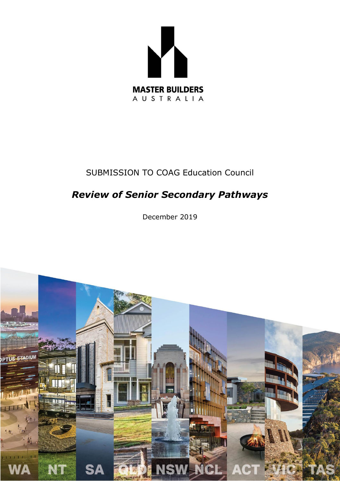

# SUBMISSION TO COAG Education Council

# *Review of Senior Secondary Pathways*

December 2019

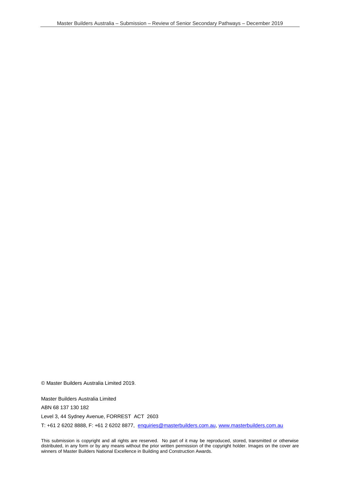© Master Builders Australia Limited 2019.

Master Builders Australia Limited ABN 68 137 130 182 Level 3, 44 Sydney Avenue, FORREST ACT 2603 T: +61 2 6202 8888, F: +61 2 6202 8877, [enquiries@masterbuilders.com.au,](mailto:enquiries@masterbuilders.com.au) [www.masterbuilders.com.au](http://www.masterbuilders.com.au/)

This submission is copyright and all rights are reserved. No part of it may be reproduced, stored, transmitted or otherwise distributed, in any form or by any means without the prior written permission of the copyright holder. Images on the cover are winners of Master Builders National Excellence in Building and Construction Awards.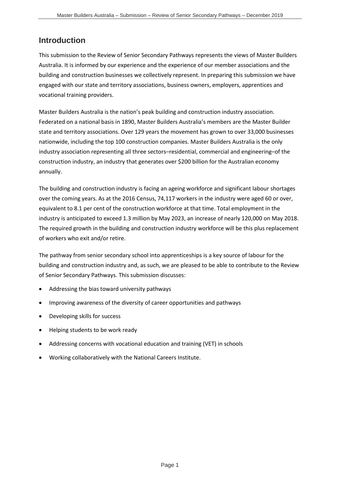## **Introduction**

This submission to the Review of Senior Secondary Pathways represents the views of Master Builders Australia. It is informed by our experience and the experience of our member associations and the building and construction businesses we collectively represent. In preparing this submission we have engaged with our state and territory associations, business owners, employers, apprentices and vocational training providers.

Master Builders Australia is the nation's peak building and construction industry association. Federated on a national basis in 1890, Master Builders Australia's members are the Master Builder state and territory associations. Over 129 years the movement has grown to over 33,000 businesses nationwide, including the top 100 construction companies. Master Builders Australia is the only industry association representing all three sectors–residential, commercial and engineering–of the construction industry, an industry that generates over \$200 billion for the Australian economy annually.

The building and construction industry is facing an ageing workforce and significant labour shortages over the coming years. As at the 2016 Census, 74,117 workers in the industry were aged 60 or over, equivalent to 8.1 per cent of the construction workforce at that time. Total employment in the industry is anticipated to exceed 1.3 million by May 2023, an increase of nearly 120,000 on May 2018. The required growth in the building and construction industry workforce will be this plus replacement of workers who exit and/or retire.

The pathway from senior secondary school into apprenticeships is a key source of labour for the building and construction industry and, as such, we are pleased to be able to contribute to the Review of Senior Secondary Pathways. This submission discusses:

- Addressing the bias toward university pathways
- Improving awareness of the diversity of career opportunities and pathways
- Developing skills for success
- Helping students to be work ready
- Addressing concerns with vocational education and training (VET) in schools
- Working collaboratively with the National Careers Institute.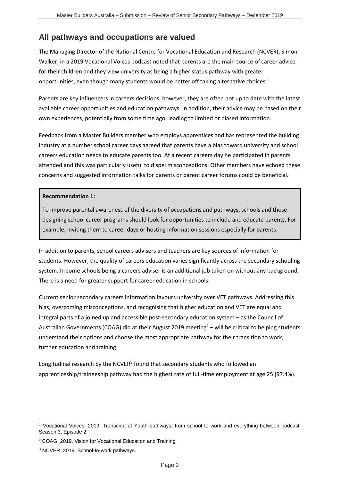## **All pathways and occupations are valued**

The Managing Director of the National Centre for Vocational Education and Research (NCVER), Simon Walker, in a 2019 Vocational Voices podcast noted that parents are the main source of career advice for their children and they view university as being a higher status pathway with greater opportunities, even though many students would be better off taking alternative choices.<sup>1</sup>

Parents are key influencers in careers decisions, however, they are often not up to date with the latest available career opportunities and education pathways. In addition, their advice may be based on their own experiences, potentially from some time ago, leading to limited or biased information.

Feedback from a Master Builders member who employs apprentices and has represented the building industry at a number school career days agreed that parents have a bias toward university and school careers education needs to educate parents too. At a recent careers day he participated in parents attended and this was particularly useful to dispel misconceptions. Other members have echoed these concerns and suggested information talks for parents or parent career forums could be beneficial.

#### **Recommendation 1:**

To improve parental awareness of the diversity of occupations and pathways, schools and those designing school career programs should look for opportunities to include and educate parents. For example, inviting them to career days or hosting information sessions especially for parents.

In addition to parents, school careers advisers and teachers are key sources of information for students. However, the quality of careers education varies significantly across the secondary schooling system. In some schools being a careers adviser is an additional job taken on without any background. There is a need for greater support for career education in schools.

Current senior secondary careers information favours university over VET pathways. Addressing this bias, overcoming misconceptions, and recognising that higher education and VET are equal and integral parts of a joined up and accessible post-secondary education system – as the Council of Australian Governments (COAG) did at their August 2019 meeting<sup>2</sup> – will be critical to helping students understand their options and choose the most appropriate pathway for their transition to work, further education and training.

Longitudinal research by the NCVER<sup>3</sup> found that secondary students who followed an apprenticeship/traineeship pathway had the highest rate of full-time employment at age 25 (97.4%).

 $\overline{a}$ <sup>1</sup> Vocational Voices, 2019. Transcript of Youth pathways: from school to work and everything between podcast; Season 3, Episode 2

<sup>2</sup> COAG, 2019. Vision for Vocational Education and Training

<sup>3</sup> NCVER, 2019. School-to-work pathways.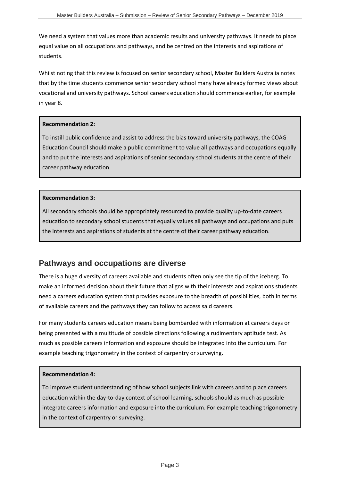We need a system that values more than academic results and university pathways. It needs to place equal value on all occupations and pathways, and be centred on the interests and aspirations of students.

Whilst noting that this review is focused on senior secondary school, Master Builders Australia notes that by the time students commence senior secondary school many have already formed views about vocational and university pathways. School careers education should commence earlier, for example in year 8.

### **Recommendation 2:**

To instill public confidence and assist to address the bias toward university pathways, the COAG Education Council should make a public commitment to value all pathways and occupations equally and to put the interests and aspirations of senior secondary school students at the centre of their career pathway education.

### **Recommendation 3:**

All secondary schools should be appropriately resourced to provide quality up-to-date careers education to secondary school students that equally values all pathways and occupations and puts the interests and aspirations of students at the centre of their career pathway education.

## **Pathways and occupations are diverse**

There is a huge diversity of careers available and students often only see the tip of the iceberg. To make an informed decision about their future that aligns with their interests and aspirations students need a careers education system that provides exposure to the breadth of possibilities, both in terms of available careers and the pathways they can follow to access said careers.

For many students careers education means being bombarded with information at careers days or being presented with a multitude of possible directions following a rudimentary aptitude test. As much as possible careers information and exposure should be integrated into the curriculum. For example teaching trigonometry in the context of carpentry or surveying.

### **Recommendation 4:**

To improve student understanding of how school subjects link with careers and to place careers education within the day-to-day context of school learning, schools should as much as possible integrate careers information and exposure into the curriculum. For example teaching trigonometry in the context of carpentry or surveying.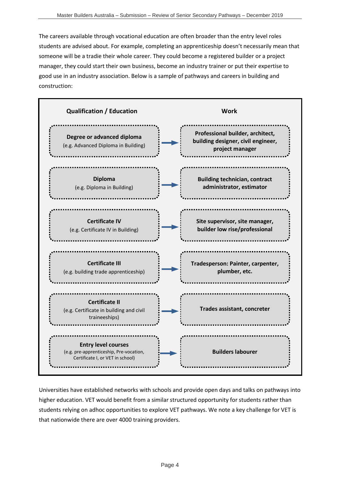The careers available through vocational education are often broader than the entry level roles students are advised about. For example, completing an apprenticeship doesn't necessarily mean that someone will be a tradie their whole career. They could become a registered builder or a project manager, they could start their own business, become an industry trainer or put their expertise to good use in an industry association. Below is a sample of pathways and careers in building and construction:



Universities have established networks with schools and provide open days and talks on pathways into higher education. VET would benefit from a similar structured opportunity for students rather than students relying on adhoc opportunities to explore VET pathways. We note a key challenge for VET is that nationwide there are over 4000 training providers.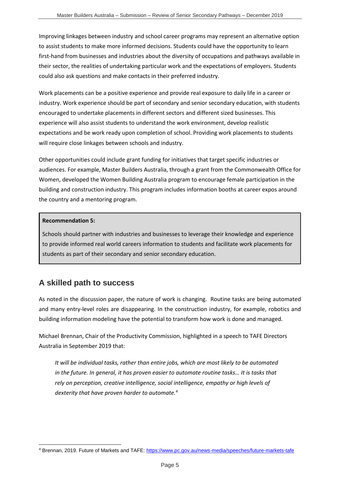Improving linkages between industry and school career programs may represent an alternative option to assist students to make more informed decisions. Students could have the opportunity to learn first-hand from businesses and industries about the diversity of occupations and pathways available in their sector, the realities of undertaking particular work and the expectations of employers. Students could also ask questions and make contacts in their preferred industry.

Work placements can be a positive experience and provide real exposure to daily life in a career or industry. Work experience should be part of secondary and senior secondary education, with students encouraged to undertake placements in different sectors and different sized businesses. This experience will also assist students to understand the work environment, develop realistic expectations and be work ready upon completion of school. Providing work placements to students will require close linkages between schools and industry.

Other opportunities could include grant funding for initiatives that target specific industries or audiences. For example, Master Builders Australia, through a grant from the Commonwealth Office for Women, developed the Women Building Australia program to encourage female participation in the building and construction industry. This program includes information booths at career expos around the country and a mentoring program.

### **Recommendation 5:**

Schools should partner with industries and businesses to leverage their knowledge and experience to provide informed real world careers information to students and facilitate work placements for students as part of their secondary and senior secondary education.

# **A skilled path to success**

As noted in the discussion paper, the nature of work is changing. Routine tasks are being automated and many entry-level roles are disappearing. In the construction industry, for example, robotics and building information modeling have the potential to transform how work is done and managed.

Michael Brennan, Chair of the Productivity Commission, highlighted in a speech to TAFE Directors Australia in September 2019 that:

*It will be individual tasks, rather than entire jobs, which are most likely to be automated in the future. In general, it has proven easier to automate routine tasks… It is tasks that rely on perception, creative intelligence, social intelligence, empathy or high levels of dexterity that have proven harder to automate.<sup>4</sup>*

 $\overline{a}$ <sup>4</sup> Brennan, 2019. Future of Markets and TAFE:<https://www.pc.gov.au/news-media/speeches/future-markets-tafe>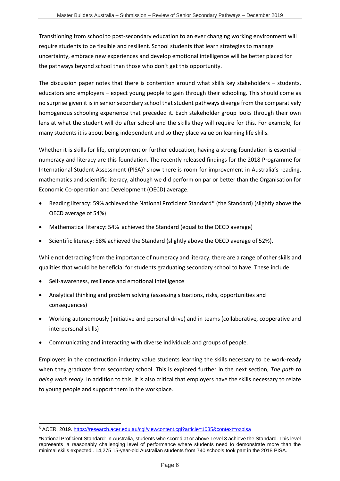Transitioning from school to post-secondary education to an ever changing working environment will require students to be flexible and resilient. School students that learn strategies to manage uncertainty, embrace new experiences and develop emotional intelligence will be better placed for the pathways beyond school than those who don't get this opportunity.

The discussion paper notes that there is contention around what skills key stakeholders  $-$  students, educators and employers – expect young people to gain through their schooling. This should come as no surprise given it is in senior secondary school that student pathways diverge from the comparatively homogenous schooling experience that preceded it. Each stakeholder group looks through their own lens at what the student will do after school and the skills they will require for this. For example, for many students it is about being independent and so they place value on learning life skills.

Whether it is skills for life, employment or further education, having a strong foundation is essential – numeracy and literacy are this foundation. The recently released findings for the 2018 Programme for International Student Assessment (PISA)<sup>5</sup> show there is room for improvement in Australia's reading, mathematics and scientific literacy, although we did perform on par or better than the Organisation for Economic Co-operation and Development (OECD) average.

- Reading literacy: 59% achieved the National Proficient Standard\* (the Standard) (slightly above the OECD average of 54%)
- Mathematical literacy: 54% achieved the Standard (equal to the OECD average)
- Scientific literacy: 58% achieved the Standard (slightly above the OECD average of 52%).

While not detracting from the importance of numeracy and literacy, there are a range of other skills and qualities that would be beneficial for students graduating secondary school to have. These include:

Self-awareness, resilience and emotional intelligence

 $\overline{a}$ 

- Analytical thinking and problem solving (assessing situations, risks, opportunities and consequences)
- Working autonomously (initiative and personal drive) and in teams (collaborative, cooperative and interpersonal skills)
- Communicating and interacting with diverse individuals and groups of people.

Employers in the construction industry value students learning the skills necessary to be work-ready when they graduate from secondary school. This is explored further in the next section, *The path to being work ready*. In addition to this, it is also critical that employers have the skills necessary to relate to young people and support them in the workplace.

<sup>&</sup>lt;sup>5</sup> ACER, 2019.<https://research.acer.edu.au/cgi/viewcontent.cgi?article=1035&context=ozpisa>

<sup>\*</sup>National Proficient Standard: In Australia, students who scored at or above Level 3 achieve the Standard. This level represents 'a reasonably challenging level of performance where students need to demonstrate more than the minimal skills expected'. 14,275 15-year-old Australian students from 740 schools took part in the 2018 PISA.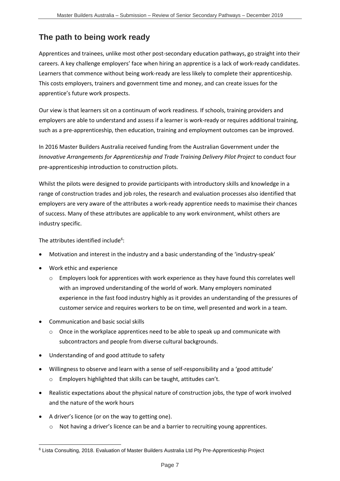# **The path to being work ready**

Apprentices and trainees, unlike most other post-secondary education pathways, go straight into their careers. A key challenge employers' face when hiring an apprentice is a lack of work-ready candidates. Learners that commence without being work-ready are less likely to complete their apprenticeship. This costs employers, trainers and government time and money, and can create issues for the apprentice's future work prospects.

Our view is that learners sit on a continuum of work readiness. If schools, training providers and employers are able to understand and assess if a learner is work-ready or requires additional training, such as a pre-apprenticeship, then education, training and employment outcomes can be improved.

In 2016 Master Builders Australia received funding from the Australian Government under the *Innovative Arrangements for Apprenticeship and Trade Training Delivery Pilot Project* to conduct four pre-apprenticeship introduction to construction pilots.

Whilst the pilots were designed to provide participants with introductory skills and knowledge in a range of construction trades and job roles, the research and evaluation processes also identified that employers are very aware of the attributes a work-ready apprentice needs to maximise their chances of success. Many of these attributes are applicable to any work environment, whilst others are industry specific.

The attributes identified include<sup>6</sup>:

- Motivation and interest in the industry and a basic understanding of the 'industry-speak'
- Work ethic and experience
	- o Employers look for apprentices with work experience as they have found this correlates well with an improved understanding of the world of work. Many employers nominated experience in the fast food industry highly as it provides an understanding of the pressures of customer service and requires workers to be on time, well presented and work in a team.
- Communication and basic social skills
	- $\circ$  Once in the workplace apprentices need to be able to speak up and communicate with subcontractors and people from diverse cultural backgrounds.
- Understanding of and good attitude to safety
- Willingness to observe and learn with a sense of self-responsibility and a 'good attitude'
	- o Employers highlighted that skills can be taught, attitudes can't.
- Realistic expectations about the physical nature of construction jobs, the type of work involved and the nature of the work hours
- A driver's licence (or on the way to getting one).
	- $\circ$  Not having a driver's licence can be and a barrier to recruiting young apprentices.

 $\overline{a}$ <sup>6</sup> Lista Consulting, 2018. Evaluation of Master Builders Australia Ltd Pty Pre-Apprenticeship Project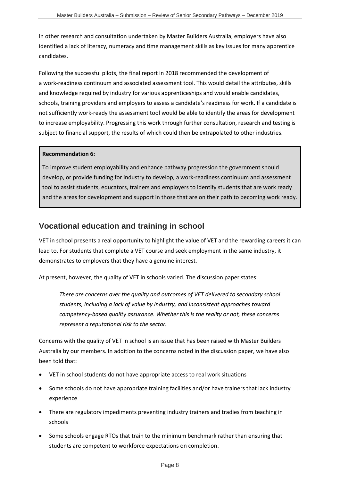In other research and consultation undertaken by Master Builders Australia, employers have also identified a lack of literacy, numeracy and time management skills as key issues for many apprentice candidates.

Following the successful pilots, the final report in 2018 recommended the development of a work-readiness continuum and associated assessment tool. This would detail the attributes, skills and knowledge required by industry for various apprenticeships and would enable candidates, schools, training providers and employers to assess a candidate's readiness for work. If a candidate is not sufficiently work-ready the assessment tool would be able to identify the areas for development to increase employability. Progressing this work through further consultation, research and testing is subject to financial support, the results of which could then be extrapolated to other industries.

### **Recommendation 6:**

To improve student employability and enhance pathway progression the government should develop, or provide funding for industry to develop, a work-readiness continuum and assessment tool to assist students, educators, trainers and employers to identify students that are work ready and the areas for development and support in those that are on their path to becoming work ready.

## **Vocational education and training in school**

VET in school presents a real opportunity to highlight the value of VET and the rewarding careers it can lead to. For students that complete a VET course and seek employment in the same industry, it demonstrates to employers that they have a genuine interest.

At present, however, the quality of VET in schools varied. The discussion paper states:

*There are concerns over the quality and outcomes of VET delivered to secondary school students, including a lack of value by industry, and inconsistent approaches toward competency-based quality assurance. Whether this is the reality or not, these concerns represent a reputational risk to the sector.*

Concerns with the quality of VET in school is an issue that has been raised with Master Builders Australia by our members. In addition to the concerns noted in the discussion paper, we have also been told that:

- VET in school students do not have appropriate access to real work situations
- Some schools do not have appropriate training facilities and/or have trainers that lack industry experience
- There are regulatory impediments preventing industry trainers and tradies from teaching in schools
- Some schools engage RTOs that train to the minimum benchmark rather than ensuring that students are competent to workforce expectations on completion.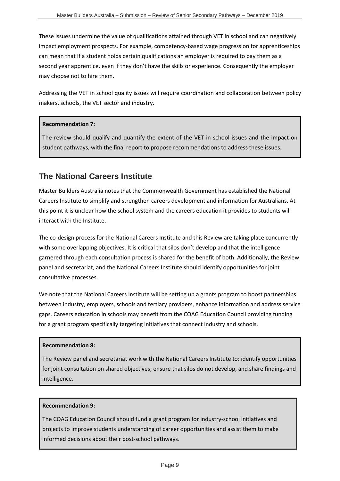These issues undermine the value of qualifications attained through VET in school and can negatively impact employment prospects. For example, competency-based wage progression for apprenticeships can mean that if a student holds certain qualifications an employer is required to pay them as a second year apprentice, even if they don't have the skills or experience. Consequently the employer may choose not to hire them.

Addressing the VET in school quality issues will require coordination and collaboration between policy makers, schools, the VET sector and industry.

### **Recommendation 7:**

The review should qualify and quantify the extent of the VET in school issues and the impact on student pathways, with the final report to propose recommendations to address these issues.

# **The National Careers Institute**

Master Builders Australia notes that the Commonwealth Government has established the National Careers Institute to simplify and strengthen careers development and information for Australians. At this point it is unclear how the school system and the careers education it provides to students will interact with the Institute.

The co-design process for the National Careers Institute and this Review are taking place concurrently with some overlapping objectives. It is critical that silos don't develop and that the intelligence garnered through each consultation process is shared for the benefit of both. Additionally, the Review panel and secretariat, and the National Careers Institute should identify opportunities for joint consultative processes.

We note that the National Careers Institute will be setting up a grants program to boost partnerships between industry, employers, schools and tertiary providers, enhance information and address service gaps. Careers education in schools may benefit from the COAG Education Council providing funding for a grant program specifically targeting initiatives that connect industry and schools.

### **Recommendation 8:**

The Review panel and secretariat work with the National Careers Institute to: identify opportunities for joint consultation on shared objectives; ensure that silos do not develop, and share findings and intelligence.

### **Recommendation 9:**

The COAG Education Council should fund a grant program for industry-school initiatives and projects to improve students understanding of career opportunities and assist them to make informed decisions about their post-school pathways.